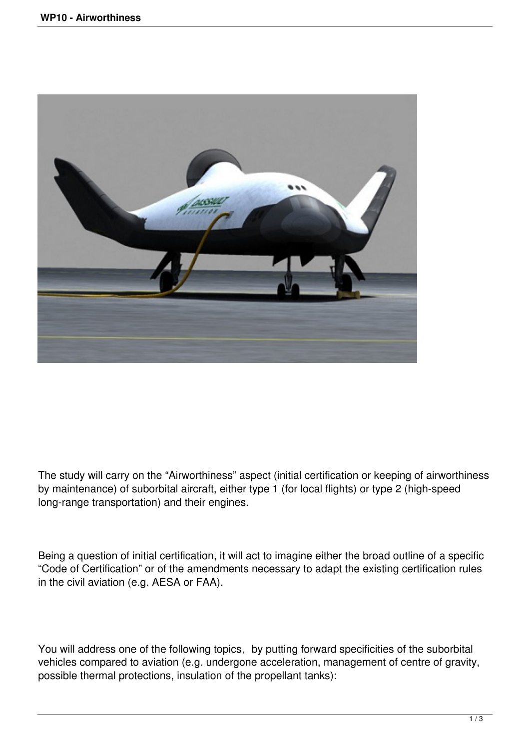

The study will carry on the "Airworthiness" aspect (initial certification or keeping of airworthiness by maintenance) of suborbital aircraft, either type 1 (for local flights) or type 2 (high-speed long-range transportation) and their engines.

Being a question of initial certification, it will act to imagine either the broad outline of a specific "Code of Certification" or of the amendments necessary to adapt the existing certification rules in the civil aviation (e.g. AESA or FAA).

You will address one of the following topics, by putting forward specificities of the suborbital vehicles compared to aviation (e.g. undergone acceleration, management of centre of gravity, possible thermal protections, insulation of the propellant tanks):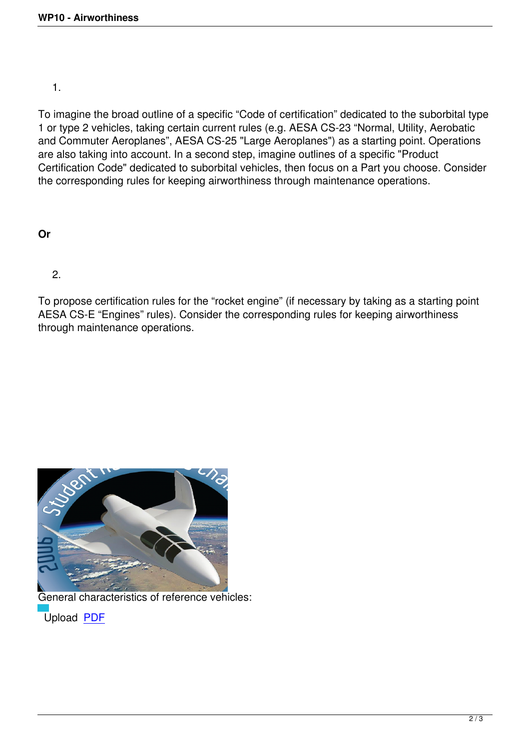To imagine the broad outline of a specific "Code of certification" dedicated to the suborbital type 1 or type 2 vehicles, taking certain current rules (e.g. AESA CS-23 "Normal, Utility, Aerobatic and Commuter Aeroplanes", AESA CS-25 "Large Aeroplanes") as a starting point. Operations are also taking into account. In a second step, imagine outlines of a specific "Product Certification Code" dedicated to suborbital vehicles, then focus on a Part you choose. Consider the corresponding rules for keeping airworthiness through maintenance operations.

## **Or**

2.

To propose certification rules for the "rocket engine" (if necessary by taking as a starting point AESA CS-E "Engines" rules). Consider the corresponding rules for keeping airworthiness through maintenance operations.



General characteristics of reference vehicles: Upload PDF